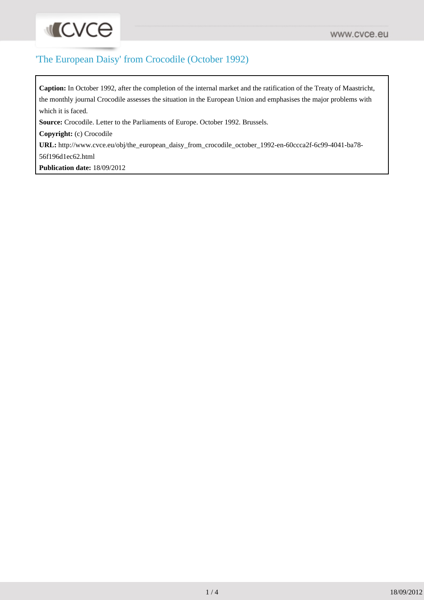## 'The European Daisy' from Crocodile (October 1992)

**Caption:** In October 1992, after the completion of the internal market and the ratification of the Treaty of Maastricht, the monthly journal Crocodile assesses the situation in the European Union and emphasises the major problems with which it is faced.

**Source:** Crocodile. Letter to the Parliaments of Europe. October 1992. Brussels.

**Copyright:** (c) Crocodile

**INCVCe** 

**URL:** [http://www.cvce.eu/obj/the\\_european\\_daisy\\_from\\_crocodile\\_october\\_1992-en-60ccca2f-6c99-4041-ba78-](http://www.cvce.eu/obj/the_european_daisy_from_crocodile_october_1992-en-60ccca2f-6c99-4041-ba78-56f196d1ec62.html) [56f196d1ec62.html](http://www.cvce.eu/obj/the_european_daisy_from_crocodile_october_1992-en-60ccca2f-6c99-4041-ba78-56f196d1ec62.html)

**Publication date:** 18/09/2012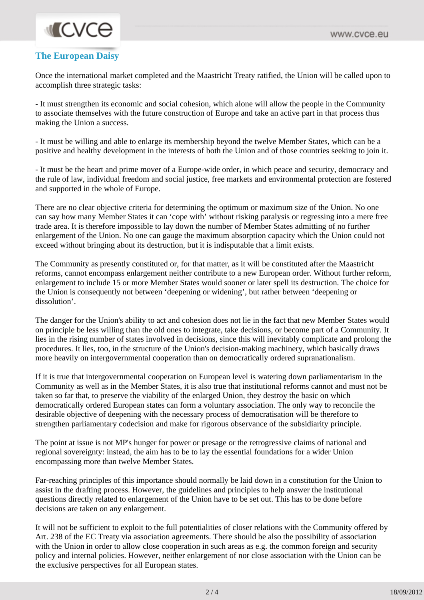## **INCVCO**

## **The European Daisy**

Once the international market completed and the Maastricht Treaty ratified, the Union will be called upon to accomplish three strategic tasks:

- It must strengthen its economic and social cohesion, which alone will allow the people in the Community to associate themselves with the future construction of Europe and take an active part in that process thus making the Union a success.

- It must be willing and able to enlarge its membership beyond the twelve Member States, which can be a positive and healthy development in the interests of both the Union and of those countries seeking to join it.

- It must be the heart and prime mover of a Europe-wide order, in which peace and security, democracy and the rule of law, individual freedom and social justice, free markets and environmental protection are fostered and supported in the whole of Europe.

There are no clear objective criteria for determining the optimum or maximum size of the Union. No one can say how many Member States it can 'cope with' without risking paralysis or regressing into a mere free trade area. It is therefore impossible to lay down the number of Member States admitting of no further enlargement of the Union. No one can gauge the maximum absorption capacity which the Union could not exceed without bringing about its destruction, but it is indisputable that a limit exists.

The Community as presently constituted or, for that matter, as it will be constituted after the Maastricht reforms, cannot encompass enlargement neither contribute to a new European order. Without further reform, enlargement to include 15 or more Member States would sooner or later spell its destruction. The choice for the Union is consequently not between 'deepening or widening', but rather between 'deepening or dissolution'.

The danger for the Union's ability to act and cohesion does not lie in the fact that new Member States would on principle be less willing than the old ones to integrate, take decisions, or become part of a Community. It lies in the rising number of states involved in decisions, since this will inevitably complicate and prolong the procedures. It lies, too, in the structure of the Union's decision-making machinery, which basically draws more heavily on intergovernmental cooperation than on democratically ordered supranationalism.

If it is true that intergovernmental cooperation on European level is watering down parliamentarism in the Community as well as in the Member States, it is also true that institutional reforms cannot and must not be taken so far that, to preserve the viability of the enlarged Union, they destroy the basic on which democratically ordered European states can form a voluntary association. The only way to reconcile the desirable objective of deepening with the necessary process of democratisation will be therefore to strengthen parliamentary codecision and make for rigorous observance of the subsidiarity principle.

The point at issue is not MP's hunger for power or presage or the retrogressive claims of national and regional sovereignty: instead, the aim has to be to lay the essential foundations for a wider Union encompassing more than twelve Member States.

Far-reaching principles of this importance should normally be laid down in a constitution for the Union to assist in the drafting process. However, the guidelines and principles to help answer the institutional questions directly related to enlargement of the Union have to be set out. This has to be done before decisions are taken on any enlargement.

It will not be sufficient to exploit to the full potentialities of closer relations with the Community offered by Art. 238 of the EC Treaty via association agreements. There should be also the possibility of association with the Union in order to allow close cooperation in such areas as e.g. the common foreign and security policy and internal policies. However, neither enlargement of nor close association with the Union can be the exclusive perspectives for all European states.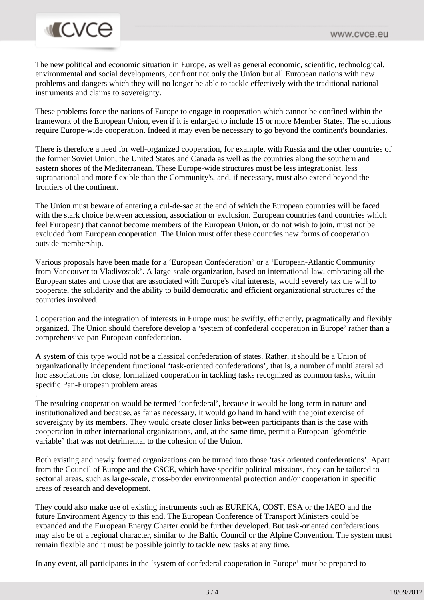## **MCVCe**

.

The new political and economic situation in Europe, as well as general economic, scientific, technological, environmental and social developments, confront not only the Union but all European nations with new problems and dangers which they will no longer be able to tackle effectively with the traditional national instruments and claims to sovereignty.

These problems force the nations of Europe to engage in cooperation which cannot be confined within the framework of the European Union, even if it is enlarged to include 15 or more Member States. The solutions require Europe-wide cooperation. Indeed it may even be necessary to go beyond the continent's boundaries.

There is therefore a need for well-organized cooperation, for example, with Russia and the other countries of the former Soviet Union, the United States and Canada as well as the countries along the southern and eastern shores of the Mediterranean. These Europe-wide structures must be less integrationist, less supranational and more flexible than the Community's, and, if necessary, must also extend beyond the frontiers of the continent.

The Union must beware of entering a cul-de-sac at the end of which the European countries will be faced with the stark choice between accession, association or exclusion. European countries (and countries which feel European) that cannot become members of the European Union, or do not wish to join, must not be excluded from European cooperation. The Union must offer these countries new forms of cooperation outside membership.

Various proposals have been made for a 'European Confederation' or a 'European-Atlantic Community from Vancouver to Vladivostok'. A large-scale organization, based on international law, embracing all the European states and those that are associated with Europe's vital interests, would severely tax the will to cooperate, the solidarity and the ability to build democratic and efficient organizational structures of the countries involved.

Cooperation and the integration of interests in Europe must be swiftly, efficiently, pragmatically and flexibly organized. The Union should therefore develop a 'system of confederal cooperation in Europe' rather than a comprehensive pan-European confederation.

A system of this type would not be a classical confederation of states. Rather, it should be a Union of organizationally independent functional 'task-oriented confederations', that is, a number of multilateral ad hoc associations for close, formalized cooperation in tackling tasks recognized as common tasks, within specific Pan-European problem areas

The resulting cooperation would be termed 'confederal', because it would be long-term in nature and institutionalized and because, as far as necessary, it would go hand in hand with the joint exercise of sovereignty by its members. They would create closer links between participants than is the case with cooperation in other international organizations, and, at the same time, permit a European 'géométrie variable' that was not detrimental to the cohesion of the Union.

Both existing and newly formed organizations can be turned into those 'task oriented confederations'. Apart from the Council of Europe and the CSCE, which have specific political missions, they can be tailored to sectorial areas, such as large-scale, cross-border environmental protection and/or cooperation in specific areas of research and development.

They could also make use of existing instruments such as EUREKA, COST, ESA or the IAEO and the future Environment Agency to this end. The European Conference of Transport Ministers could be expanded and the European Energy Charter could be further developed. But task-oriented confederations may also be of a regional character, similar to the Baltic Council or the Alpine Convention. The system must remain flexible and it must be possible jointly to tackle new tasks at any time.

In any event, all participants in the 'system of confederal cooperation in Europe' must be prepared to